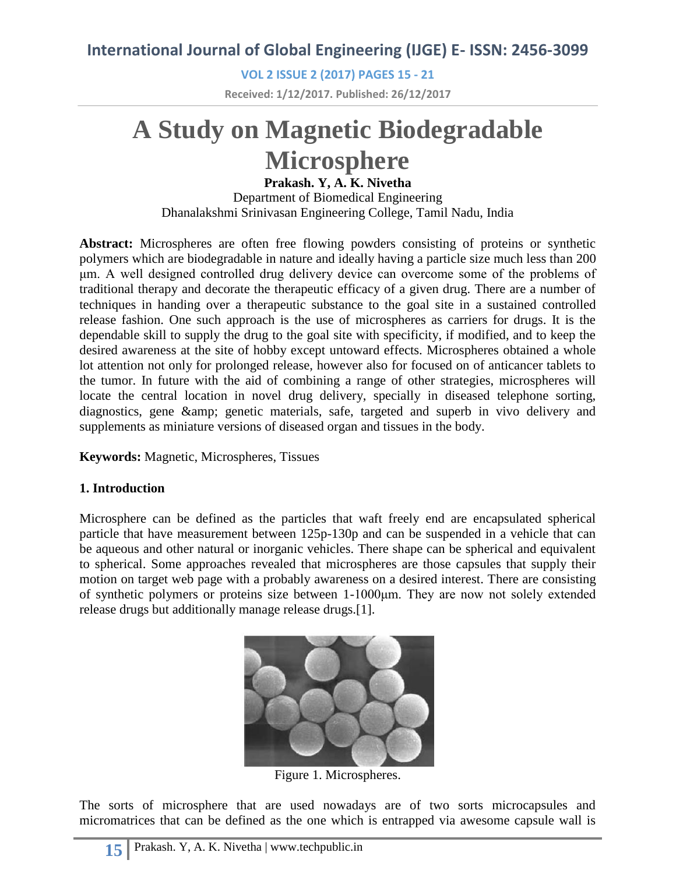# **International Journal of Global Engineering (IJGE) E- ISSN: 2456-3099**

**VOL 2 ISSUE 2 (2017) PAGES 15 - 21 Received: 1/12/2017. Published: 26/12/2017**

# **A Study on Magnetic Biodegradable Microsphere**

#### **Prakash. Y, A. K. Nivetha**

Department of Biomedical Engineering Dhanalakshmi Srinivasan Engineering College, Tamil Nadu, India

**Abstract:** Microspheres are often free flowing powders consisting of proteins or synthetic polymers which are biodegradable in nature and ideally having a particle size much less than 200 μm. A well designed controlled drug delivery device can overcome some of the problems of traditional therapy and decorate the therapeutic efficacy of a given drug. There are a number of techniques in handing over a therapeutic substance to the goal site in a sustained controlled release fashion. One such approach is the use of microspheres as carriers for drugs. It is the dependable skill to supply the drug to the goal site with specificity, if modified, and to keep the desired awareness at the site of hobby except untoward effects. Microspheres obtained a whole lot attention not only for prolonged release, however also for focused on of anticancer tablets to the tumor. In future with the aid of combining a range of other strategies, microspheres will locate the central location in novel drug delivery, specially in diseased telephone sorting, diagnostics, gene & amp; genetic materials, safe, targeted and superb in vivo delivery and supplements as miniature versions of diseased organ and tissues in the body.

**Keywords:** Magnetic, Microspheres, Tissues

#### **1. Introduction**

Microsphere can be defined as the particles that waft freely end are encapsulated spherical particle that have measurement between 125p-130p and can be suspended in a vehicle that can be aqueous and other natural or inorganic vehicles. There shape can be spherical and equivalent to spherical. Some approaches revealed that microspheres are those capsules that supply their motion on target web page with a probably awareness on a desired interest. There are consisting of synthetic polymers or proteins size between 1-1000μm. They are now not solely extended release drugs but additionally manage release drugs.[1].



Figure 1. Microspheres.

The sorts of microsphere that are used nowadays are of two sorts microcapsules and micromatrices that can be defined as the one which is entrapped via awesome capsule wall is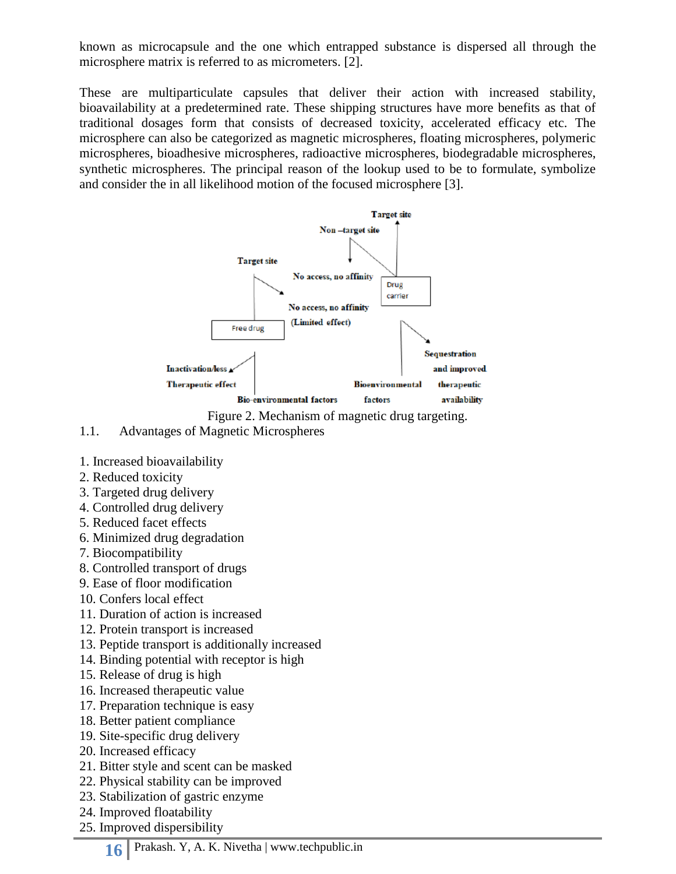known as microcapsule and the one which entrapped substance is dispersed all through the microsphere matrix is referred to as micrometers. [2].

These are multiparticulate capsules that deliver their action with increased stability, bioavailability at a predetermined rate. These shipping structures have more benefits as that of traditional dosages form that consists of decreased toxicity, accelerated efficacy etc. The microsphere can also be categorized as magnetic microspheres, floating microspheres, polymeric microspheres, bioadhesive microspheres, radioactive microspheres, biodegradable microspheres, synthetic microspheres. The principal reason of the lookup used to be to formulate, symbolize and consider the in all likelihood motion of the focused microsphere [3].



Figure 2. Mechanism of magnetic drug targeting.

- 1.1. Advantages of Magnetic Microspheres
- 1. Increased bioavailability
- 2. Reduced toxicity
- 3. Targeted drug delivery
- 4. Controlled drug delivery
- 5. Reduced facet effects
- 6. Minimized drug degradation
- 7. Biocompatibility
- 8. Controlled transport of drugs
- 9. Ease of floor modification
- 10. Confers local effect
- 11. Duration of action is increased
- 12. Protein transport is increased
- 13. Peptide transport is additionally increased
- 14. Binding potential with receptor is high
- 15. Release of drug is high
- 16. Increased therapeutic value
- 17. Preparation technique is easy
- 18. Better patient compliance
- 19. Site-specific drug delivery
- 20. Increased efficacy
- 21. Bitter style and scent can be masked
- 22. Physical stability can be improved
- 23. Stabilization of gastric enzyme
- 24. Improved floatability
- 25. Improved dispersibility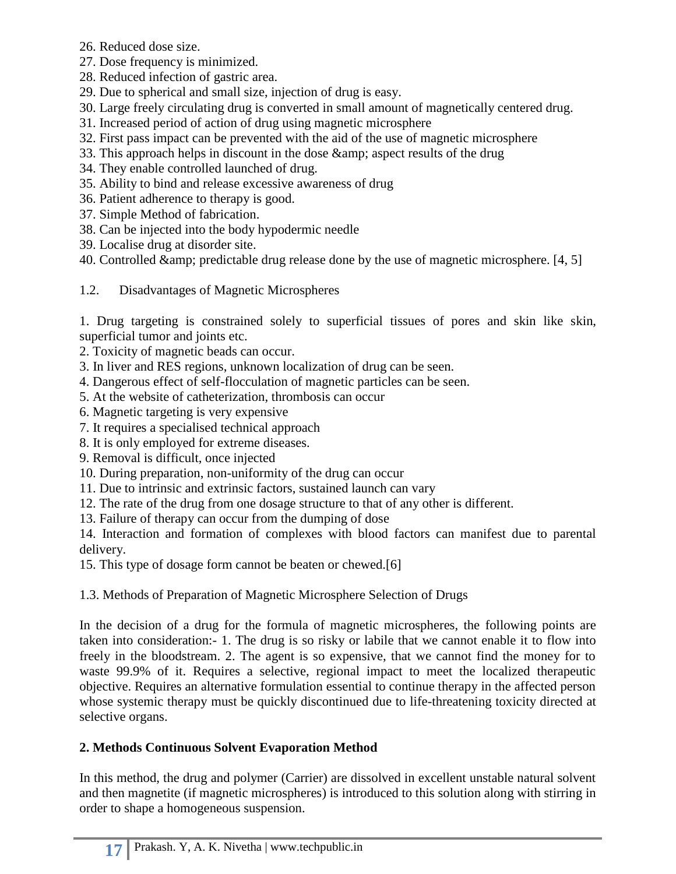- 26. Reduced dose size.
- 27. Dose frequency is minimized.
- 28. Reduced infection of gastric area.
- 29. Due to spherical and small size, injection of drug is easy.
- 30. Large freely circulating drug is converted in small amount of magnetically centered drug.
- 31. Increased period of action of drug using magnetic microsphere
- 32. First pass impact can be prevented with the aid of the use of magnetic microsphere
- 33. This approach helps in discount in the dose & aspect results of the drug
- 34. They enable controlled launched of drug.
- 35. Ability to bind and release excessive awareness of drug
- 36. Patient adherence to therapy is good.
- 37. Simple Method of fabrication.
- 38. Can be injected into the body hypodermic needle
- 39. Localise drug at disorder site.
- 40. Controlled  $\&predictable drug release done by the use of magnetic microsphere. [4, 5]$
- 1.2. Disadvantages of Magnetic Microspheres

1. Drug targeting is constrained solely to superficial tissues of pores and skin like skin, superficial tumor and joints etc.

- 2. Toxicity of magnetic beads can occur.
- 3. In liver and RES regions, unknown localization of drug can be seen.
- 4. Dangerous effect of self-flocculation of magnetic particles can be seen.
- 5. At the website of catheterization, thrombosis can occur
- 6. Magnetic targeting is very expensive
- 7. It requires a specialised technical approach
- 8. It is only employed for extreme diseases.
- 9. Removal is difficult, once injected
- 10. During preparation, non-uniformity of the drug can occur
- 11. Due to intrinsic and extrinsic factors, sustained launch can vary
- 12. The rate of the drug from one dosage structure to that of any other is different.
- 13. Failure of therapy can occur from the dumping of dose

14. Interaction and formation of complexes with blood factors can manifest due to parental delivery.

15. This type of dosage form cannot be beaten or chewed.[6]

# 1.3. Methods of Preparation of Magnetic Microsphere Selection of Drugs

In the decision of a drug for the formula of magnetic microspheres, the following points are taken into consideration:- 1. The drug is so risky or labile that we cannot enable it to flow into freely in the bloodstream. 2. The agent is so expensive, that we cannot find the money for to waste 99.9% of it. Requires a selective, regional impact to meet the localized therapeutic objective. Requires an alternative formulation essential to continue therapy in the affected person whose systemic therapy must be quickly discontinued due to life-threatening toxicity directed at selective organs.

# **2. Methods Continuous Solvent Evaporation Method**

In this method, the drug and polymer (Carrier) are dissolved in excellent unstable natural solvent and then magnetite (if magnetic microspheres) is introduced to this solution along with stirring in order to shape a homogeneous suspension.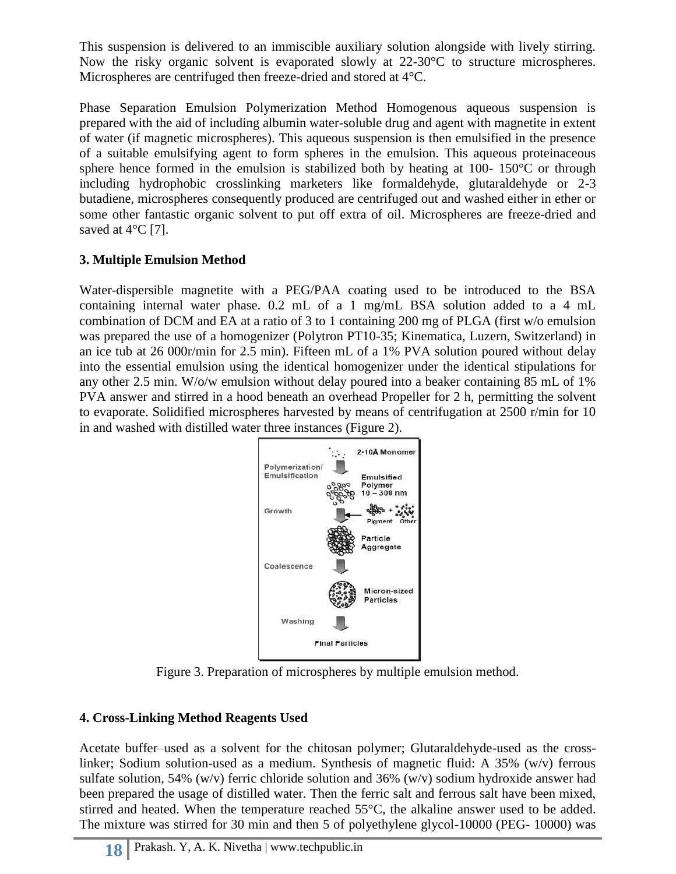This suspension is delivered to an immiscible auxiliary solution alongside with lively stirring. Now the risky organic solvent is evaporated slowly at 22-30 °C to structure microspheres. Microspheres are centrifuged then freeze-dried and stored at 4°C.

Phase Separation Emulsion Polymerization Method Homogenous aqueous suspension is prepared with the aid of including albumin water-soluble drug and agent with magnetite in extent of water (if magnetic microspheres). This aqueous suspension is then emulsified in the presence of a suitable emulsifying agent to form spheres in the emulsion. This aqueous proteinaceous sphere hence formed in the emulsion is stabilized both by heating at 100- 150 $\degree$ C or through including hydrophobic crosslinking marketers like formaldehyde, glutaraldehyde or 2-3 butadiene, microspheres consequently produced are centrifuged out and washed either in ether or some other fantastic organic solvent to put off extra of oil. Microspheres are freeze-dried and saved at  $4^{\circ}$ C [7].

## **3. Multiple Emulsion Method**

Water-dispersible magnetite with a PEG/PAA coating used to be introduced to the BSA containing internal water phase. 0.2 mL of a 1 mg/mL BSA solution added to a 4 mL combination of DCM and EA at a ratio of 3 to 1 containing 200 mg of PLGA (first w/o emulsion was prepared the use of a homogenizer (Polytron PT10-35; Kinematica, Luzern, Switzerland) in an ice tub at 26 000r/min for 2.5 min). Fifteen mL of a 1% PVA solution poured without delay into the essential emulsion using the identical homogenizer under the identical stipulations for any other 2.5 min. W/o/w emulsion without delay poured into a beaker containing 85 mL of 1% PVA answer and stirred in a hood beneath an overhead Propeller for 2 h, permitting the solvent to evaporate. Solidified microspheres harvested by means of centrifugation at 2500 r/min for 10 in and washed with distilled water three instances (Figure 2).



Figure 3. Preparation of microspheres by multiple emulsion method.

## **4. Cross-Linking Method Reagents Used**

Acetate buffer–used as a solvent for the chitosan polymer; Glutaraldehyde-used as the crosslinker; Sodium solution-used as a medium. Synthesis of magnetic fluid: A 35% (w/v) ferrous sulfate solution, 54% (w/v) ferric chloride solution and 36% (w/v) sodium hydroxide answer had been prepared the usage of distilled water. Then the ferric salt and ferrous salt have been mixed, stirred and heated. When the temperature reached 55°C, the alkaline answer used to be added. The mixture was stirred for 30 min and then 5 of polyethylene glycol-10000 (PEG- 10000) was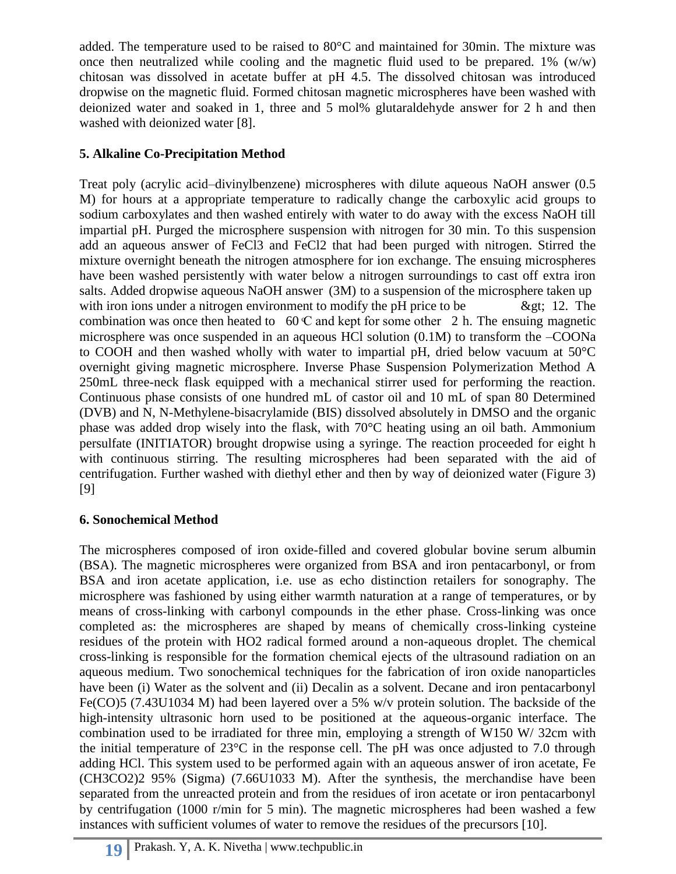added. The temperature used to be raised to 80°C and maintained for 30min. The mixture was once then neutralized while cooling and the magnetic fluid used to be prepared.  $1\%$  (w/w) chitosan was dissolved in acetate buffer at pH 4.5. The dissolved chitosan was introduced dropwise on the magnetic fluid. Formed chitosan magnetic microspheres have been washed with deionized water and soaked in 1, three and 5 mol% glutaraldehyde answer for 2 h and then washed with deionized water [8].

# **5. Alkaline Co-Precipitation Method**

Treat poly (acrylic acid–divinylbenzene) microspheres with dilute aqueous NaOH answer (0.5 M) for hours at a appropriate temperature to radically change the carboxylic acid groups to sodium carboxylates and then washed entirely with water to do away with the excess NaOH till impartial pH. Purged the microsphere suspension with nitrogen for 30 min. To this suspension add an aqueous answer of FeCl3 and FeCl2 that had been purged with nitrogen. Stirred the mixture overnight beneath the nitrogen atmosphere for ion exchange. The ensuing microspheres have been washed persistently with water below a nitrogen surroundings to cast off extra iron salts. Added dropwise aqueous NaOH answer (3M) to a suspension of the microsphere taken up with iron ions under a nitrogen environment to modify the pH price to be  $\&$  et: 12. The combination was once then heated to  $60 \text{ C}$  and kept for some other 2 h. The ensuing magnetic microsphere was once suspended in an aqueous HCl solution (0.1M) to transform the –COONa to COOH and then washed wholly with water to impartial pH, dried below vacuum at 50°C overnight giving magnetic microsphere. Inverse Phase Suspension Polymerization Method A 250mL three-neck flask equipped with a mechanical stirrer used for performing the reaction. Continuous phase consists of one hundred mL of castor oil and 10 mL of span 80 Determined (DVB) and N, N-Methylene-bisacrylamide (BIS) dissolved absolutely in DMSO and the organic phase was added drop wisely into the flask, with 70°C heating using an oil bath. Ammonium persulfate (INITIATOR) brought dropwise using a syringe. The reaction proceeded for eight h with continuous stirring. The resulting microspheres had been separated with the aid of centrifugation. Further washed with diethyl ether and then by way of deionized water (Figure 3) [9]

## **6. Sonochemical Method**

The microspheres composed of iron oxide-filled and covered globular bovine serum albumin (BSA). The magnetic microspheres were organized from BSA and iron pentacarbonyl, or from BSA and iron acetate application, i.e. use as echo distinction retailers for sonography. The microsphere was fashioned by using either warmth naturation at a range of temperatures, or by means of cross-linking with carbonyl compounds in the ether phase. Cross-linking was once completed as: the microspheres are shaped by means of chemically cross-linking cysteine residues of the protein with HO2 radical formed around a non-aqueous droplet. The chemical cross-linking is responsible for the formation chemical ejects of the ultrasound radiation on an aqueous medium. Two sonochemical techniques for the fabrication of iron oxide nanoparticles have been (i) Water as the solvent and (ii) Decalin as a solvent. Decane and iron pentacarbonyl Fe(CO)5 (7.43U1034 M) had been layered over a 5% w/v protein solution. The backside of the high-intensity ultrasonic horn used to be positioned at the aqueous-organic interface. The combination used to be irradiated for three min, employing a strength of W150 W/ 32cm with the initial temperature of 23°C in the response cell. The pH was once adjusted to 7.0 through adding HCl. This system used to be performed again with an aqueous answer of iron acetate, Fe (CH3CO2)2 95% (Sigma) (7.66U1033 M). After the synthesis, the merchandise have been separated from the unreacted protein and from the residues of iron acetate or iron pentacarbonyl by centrifugation (1000 r/min for 5 min). The magnetic microspheres had been washed a few instances with sufficient volumes of water to remove the residues of the precursors [10].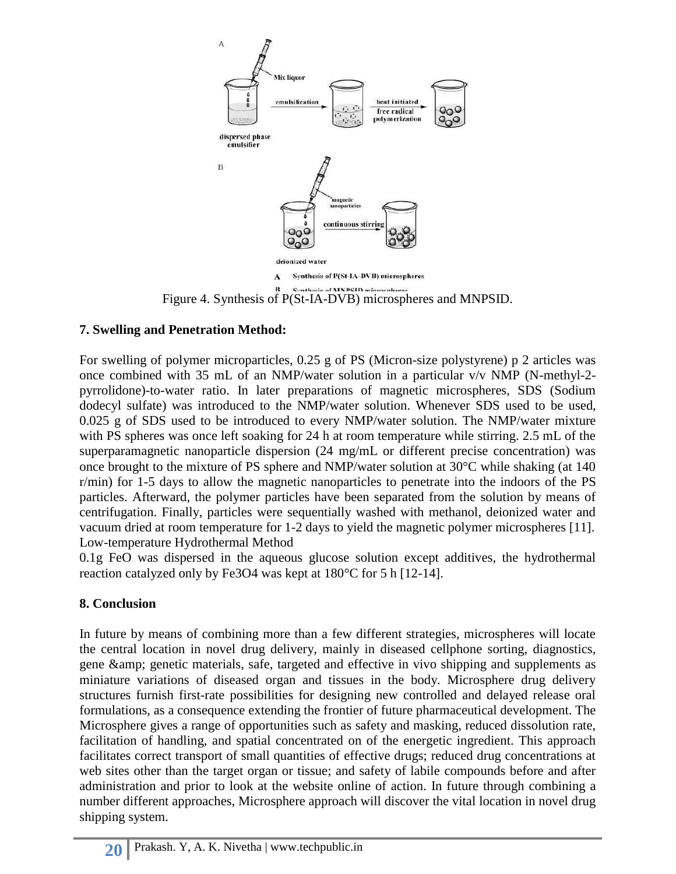

Figure 4. Synthesis of P(St-IA-DVB) microspheres and MNPSID.

#### **7. Swelling and Penetration Method:**

For swelling of polymer microparticles, 0.25 g of PS (Micron-size polystyrene) p 2 articles was once combined with 35 mL of an NMP/water solution in a particular v/v NMP (N-methyl-2 pyrrolidone)-to-water ratio. In later preparations of magnetic microspheres, SDS (Sodium dodecyl sulfate) was introduced to the NMP/water solution. Whenever SDS used to be used, 0.025 g of SDS used to be introduced to every NMP/water solution. The NMP/water mixture with PS spheres was once left soaking for 24 h at room temperature while stirring. 2.5 mL of the superparamagnetic nanoparticle dispersion (24 mg/mL or different precise concentration) was once brought to the mixture of PS sphere and NMP/water solution at 30°C while shaking (at 140 r/min) for 1-5 days to allow the magnetic nanoparticles to penetrate into the indoors of the PS particles. Afterward, the polymer particles have been separated from the solution by means of centrifugation. Finally, particles were sequentially washed with methanol, deionized water and vacuum dried at room temperature for 1-2 days to yield the magnetic polymer microspheres [11]. Low-temperature Hydrothermal Method

0.1g FeO was dispersed in the aqueous glucose solution except additives, the hydrothermal reaction catalyzed only by Fe3O4 was kept at 180°C for 5 h [12-14].

#### **8. Conclusion**

In future by means of combining more than a few different strategies, microspheres will locate the central location in novel drug delivery, mainly in diseased cellphone sorting, diagnostics, gene & amp; genetic materials, safe, targeted and effective in vivo shipping and supplements as miniature variations of diseased organ and tissues in the body. Microsphere drug delivery structures furnish first-rate possibilities for designing new controlled and delayed release oral formulations, as a consequence extending the frontier of future pharmaceutical development. The Microsphere gives a range of opportunities such as safety and masking, reduced dissolution rate, facilitation of handling, and spatial concentrated on of the energetic ingredient. This approach facilitates correct transport of small quantities of effective drugs; reduced drug concentrations at web sites other than the target organ or tissue; and safety of labile compounds before and after administration and prior to look at the website online of action. In future through combining a number different approaches, Microsphere approach will discover the vital location in novel drug shipping system.